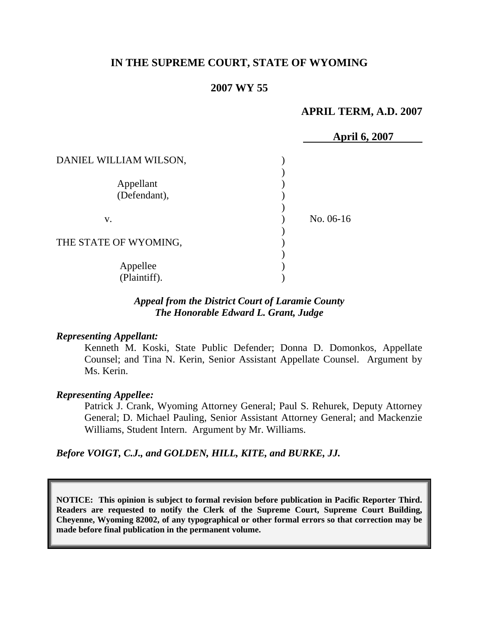# **IN THE SUPREME COURT, STATE OF WYOMING**

## **2007 WY 55**

## **APRIL TERM, A.D. 2007**

|                           | <b>April 6, 2007</b> |  |
|---------------------------|----------------------|--|
| DANIEL WILLIAM WILSON,    |                      |  |
| Appellant<br>(Defendant), |                      |  |
| V.                        | No. 06-16            |  |
| THE STATE OF WYOMING,     |                      |  |
| Appellee<br>(Plaintiff).  |                      |  |

# *Appeal from the District Court of Laramie County The Honorable Edward L. Grant, Judge*

#### *Representing Appellant:*

Kenneth M. Koski, State Public Defender; Donna D. Domonkos, Appellate Counsel; and Tina N. Kerin, Senior Assistant Appellate Counsel. Argument by Ms. Kerin.

#### *Representing Appellee:*

Patrick J. Crank, Wyoming Attorney General; Paul S. Rehurek, Deputy Attorney General; D. Michael Pauling, Senior Assistant Attorney General; and Mackenzie Williams, Student Intern. Argument by Mr. Williams.

#### *Before VOIGT, C.J., and GOLDEN, HILL, KITE, and BURKE, JJ.*

**NOTICE: This opinion is subject to formal revision before publication in Pacific Reporter Third. Readers are requested to notify the Clerk of the Supreme Court, Supreme Court Building, Cheyenne, Wyoming 82002, of any typographical or other formal errors so that correction may be made before final publication in the permanent volume.**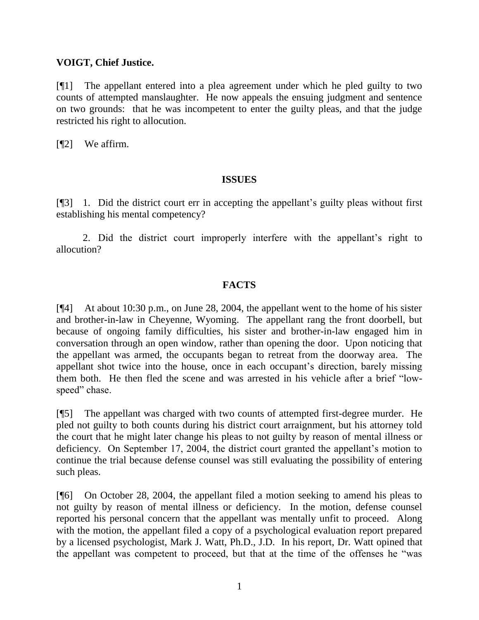## **VOIGT, Chief Justice.**

[¶1] The appellant entered into a plea agreement under which he pled guilty to two counts of attempted manslaughter. He now appeals the ensuing judgment and sentence on two grounds: that he was incompetent to enter the guilty pleas, and that the judge restricted his right to allocution.

[¶2] We affirm.

## **ISSUES**

[¶3] 1. Did the district court err in accepting the appellant's guilty pleas without first establishing his mental competency?

2. Did the district court improperly interfere with the appellant's right to allocution?

# **FACTS**

[¶4] At about 10:30 p.m., on June 28, 2004, the appellant went to the home of his sister and brother-in-law in Cheyenne, Wyoming. The appellant rang the front doorbell, but because of ongoing family difficulties, his sister and brother-in-law engaged him in conversation through an open window, rather than opening the door. Upon noticing that the appellant was armed, the occupants began to retreat from the doorway area. The appellant shot twice into the house, once in each occupant's direction, barely missing them both. He then fled the scene and was arrested in his vehicle after a brief "lowspeed" chase.

[¶5] The appellant was charged with two counts of attempted first-degree murder. He pled not guilty to both counts during his district court arraignment, but his attorney told the court that he might later change his pleas to not guilty by reason of mental illness or deficiency. On September 17, 2004, the district court granted the appellant's motion to continue the trial because defense counsel was still evaluating the possibility of entering such pleas.

[¶6] On October 28, 2004, the appellant filed a motion seeking to amend his pleas to not guilty by reason of mental illness or deficiency. In the motion, defense counsel reported his personal concern that the appellant was mentally unfit to proceed. Along with the motion, the appellant filed a copy of a psychological evaluation report prepared by a licensed psychologist, Mark J. Watt, Ph.D., J.D. In his report, Dr. Watt opined that the appellant was competent to proceed, but that at the time of the offenses he "was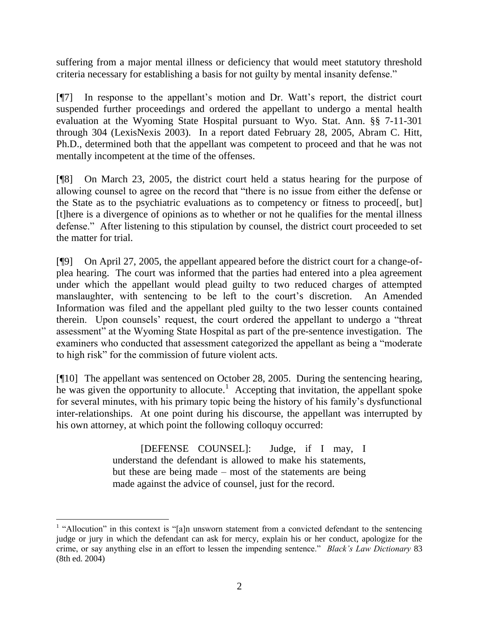suffering from a major mental illness or deficiency that would meet statutory threshold criteria necessary for establishing a basis for not guilty by mental insanity defense."

[¶7] In response to the appellant's motion and Dr. Watt's report, the district court suspended further proceedings and ordered the appellant to undergo a mental health evaluation at the Wyoming State Hospital pursuant to Wyo. Stat. Ann. §§ 7-11-301 through 304 (LexisNexis 2003). In a report dated February 28, 2005, Abram C. Hitt, Ph.D., determined both that the appellant was competent to proceed and that he was not mentally incompetent at the time of the offenses.

[¶8] On March 23, 2005, the district court held a status hearing for the purpose of allowing counsel to agree on the record that "there is no issue from either the defense or the State as to the psychiatric evaluations as to competency or fitness to proceed[, but] [t]here is a divergence of opinions as to whether or not he qualifies for the mental illness defense." After listening to this stipulation by counsel, the district court proceeded to set the matter for trial.

[¶9] On April 27, 2005, the appellant appeared before the district court for a change-ofplea hearing. The court was informed that the parties had entered into a plea agreement under which the appellant would plead guilty to two reduced charges of attempted manslaughter, with sentencing to be left to the court's discretion. An Amended Information was filed and the appellant pled guilty to the two lesser counts contained therein. Upon counsels' request, the court ordered the appellant to undergo a "threat assessment" at the Wyoming State Hospital as part of the pre-sentence investigation. The examiners who conducted that assessment categorized the appellant as being a "moderate to high risk" for the commission of future violent acts.

[¶10] The appellant was sentenced on October 28, 2005. During the sentencing hearing,  $\overline{\text{h}}$  was given the opportunity to allocute.<sup>1</sup> Accepting that invitation, the appellant spoke for several minutes, with his primary topic being the history of his family's dysfunctional inter-relationships. At one point during his discourse, the appellant was interrupted by his own attorney, at which point the following colloquy occurred:

> [DEFENSE COUNSEL]: Judge, if I may, I understand the defendant is allowed to make his statements, but these are being made – most of the statements are being made against the advice of counsel, just for the record.

 $\overline{a}$ 

<sup>&</sup>lt;sup>1</sup> "Allocution" in this context is "[a]n unsworn statement from a convicted defendant to the sentencing judge or jury in which the defendant can ask for mercy, explain his or her conduct, apologize for the crime, or say anything else in an effort to lessen the impending sentence." *Black's Law Dictionary* 83 (8th ed. 2004)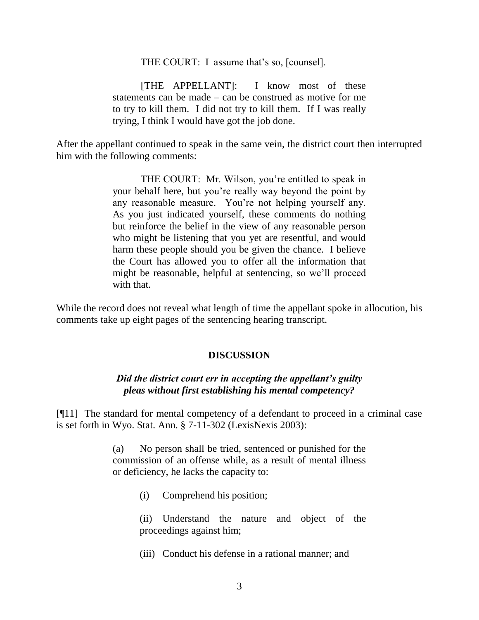THE COURT: I assume that's so, [counsel].

[THE APPELLANT]: I know most of these statements can be made – can be construed as motive for me to try to kill them. I did not try to kill them. If I was really trying, I think I would have got the job done.

After the appellant continued to speak in the same vein, the district court then interrupted him with the following comments:

> THE COURT: Mr. Wilson, you're entitled to speak in your behalf here, but you're really way beyond the point by any reasonable measure. You're not helping yourself any. As you just indicated yourself, these comments do nothing but reinforce the belief in the view of any reasonable person who might be listening that you yet are resentful, and would harm these people should you be given the chance. I believe the Court has allowed you to offer all the information that might be reasonable, helpful at sentencing, so we'll proceed with that.

While the record does not reveal what length of time the appellant spoke in allocution, his comments take up eight pages of the sentencing hearing transcript.

#### **DISCUSSION**

## *Did the district court err in accepting the appellant's guilty pleas without first establishing his mental competency?*

[¶11] The standard for mental competency of a defendant to proceed in a criminal case is set forth in Wyo. Stat. Ann. § 7-11-302 (LexisNexis 2003):

> (a) No person shall be tried, sentenced or punished for the commission of an offense while, as a result of mental illness or deficiency, he lacks the capacity to:

> > (i) Comprehend his position;

(ii) Understand the nature and object of the proceedings against him;

(iii) Conduct his defense in a rational manner; and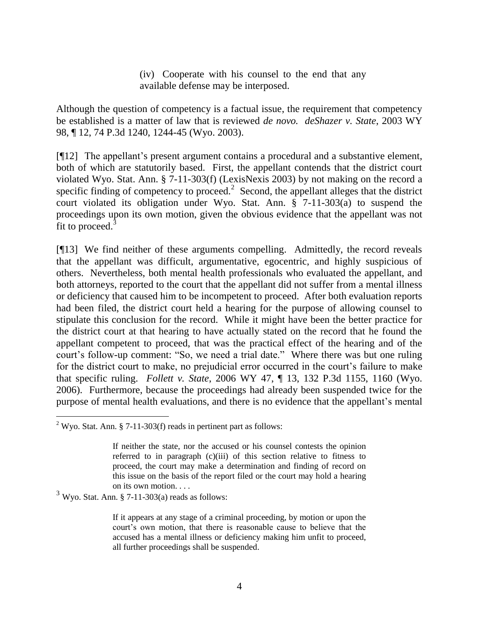(iv) Cooperate with his counsel to the end that any available defense may be interposed.

Although the question of competency is a factual issue, the requirement that competency be established is a matter of law that is reviewed *de novo. deShazer v. State*, 2003 WY 98, ¶ 12, 74 P.3d 1240, 1244-45 (Wyo. 2003).

[¶12] The appellant's present argument contains a procedural and a substantive element, both of which are statutorily based. First, the appellant contends that the district court violated Wyo. Stat. Ann. § 7-11-303(f) (LexisNexis 2003) by not making on the record a specific finding of competency to proceed.<sup>2</sup> Second, the appellant alleges that the district court violated its obligation under Wyo. Stat. Ann. § 7-11-303(a) to suspend the proceedings upon its own motion, given the obvious evidence that the appellant was not fit to proceed.<sup>3</sup>

[¶13] We find neither of these arguments compelling. Admittedly, the record reveals that the appellant was difficult, argumentative, egocentric, and highly suspicious of others. Nevertheless, both mental health professionals who evaluated the appellant, and both attorneys, reported to the court that the appellant did not suffer from a mental illness or deficiency that caused him to be incompetent to proceed. After both evaluation reports had been filed, the district court held a hearing for the purpose of allowing counsel to stipulate this conclusion for the record. While it might have been the better practice for the district court at that hearing to have actually stated on the record that he found the appellant competent to proceed, that was the practical effect of the hearing and of the court's follow-up comment: "So, we need a trial date." Where there was but one ruling for the district court to make, no prejudicial error occurred in the court's failure to make that specific ruling. *Follett v. State*, 2006 WY 47, ¶ 13, 132 P.3d 1155, 1160 (Wyo. 2006). Furthermore, because the proceedings had already been suspended twice for the purpose of mental health evaluations, and there is no evidence that the appellant's mental

 $\overline{a}$ 

<sup>&</sup>lt;sup>2</sup> Wyo. Stat. Ann. § 7-11-303(f) reads in pertinent part as follows:

If neither the state, nor the accused or his counsel contests the opinion referred to in paragraph (c)(iii) of this section relative to fitness to proceed, the court may make a determination and finding of record on this issue on the basis of the report filed or the court may hold a hearing on its own motion. . . .

 $3$  Wyo. Stat. Ann. § 7-11-303(a) reads as follows:

If it appears at any stage of a criminal proceeding, by motion or upon the court's own motion, that there is reasonable cause to believe that the accused has a mental illness or deficiency making him unfit to proceed, all further proceedings shall be suspended.